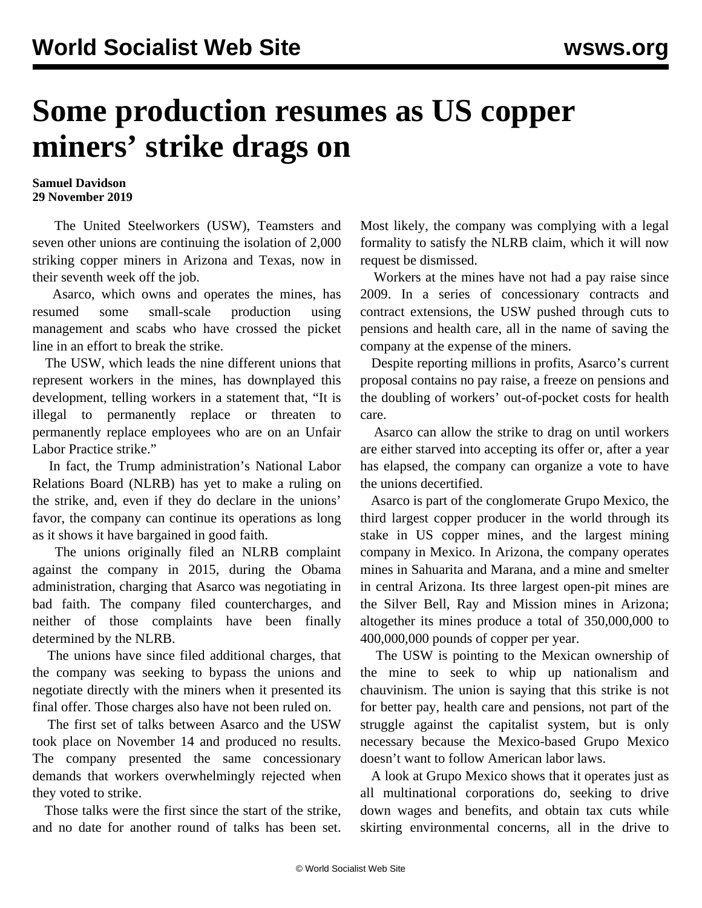## **Some production resumes as US copper miners' strike drags on**

## **Samuel Davidson 29 November 2019**

 The United Steelworkers (USW), Teamsters and seven other unions are continuing the isolation of 2,000 striking copper miners in Arizona and Texas, now in their seventh week off the job.

 Asarco, which owns and operates the mines, has resumed some small-scale production using management and scabs who have crossed the picket line in an effort to break the strike.

 The USW, which leads the nine different unions that represent workers in the mines, has downplayed this development, telling workers in a statement that, "It is illegal to permanently replace or threaten to permanently replace employees who are on an Unfair Labor Practice strike."

 In fact, the Trump administration's National Labor Relations Board (NLRB) has yet to make a ruling on the strike, and, even if they do declare in the unions' favor, the company can continue its operations as long as it shows it have bargained in good faith.

 The unions originally filed an NLRB complaint against the company in 2015, during the Obama administration, charging that Asarco was negotiating in bad faith. The company filed countercharges, and neither of those complaints have been finally determined by the NLRB.

 The unions have since filed additional charges, that the company was seeking to bypass the unions and negotiate directly with the miners when it presented its final offer. Those charges also have not been ruled on.

 The first set of talks between Asarco and the USW took place on November 14 and produced no results. The company presented the same concessionary demands that workers overwhelmingly rejected when they voted to strike.

 Those talks were the first since the start of the strike, and no date for another round of talks has been set.

Most likely, the company was complying with a legal formality to satisfy the NLRB claim, which it will now request be dismissed.

 Workers at the mines have not had a pay raise since 2009. In a series of concessionary contracts and contract extensions, the USW pushed through cuts to pensions and health care, all in the name of saving the company at the expense of the miners.

 Despite reporting millions in profits, Asarco's current proposal contains no pay raise, a freeze on pensions and the doubling of workers' out-of-pocket costs for health care.

 Asarco can allow the strike to drag on until workers are either starved into accepting its offer or, after a year has elapsed, the company can organize a vote to have the unions decertified.

 Asarco is part of the conglomerate Grupo Mexico, the third largest copper producer in the world through its stake in US copper mines, and the largest mining company in Mexico. In Arizona, the company operates mines in Sahuarita and Marana, and a mine and smelter in central Arizona. Its three largest open-pit mines are the Silver Bell, Ray and Mission mines in Arizona; altogether its mines produce a total of 350,000,000 to 400,000,000 pounds of copper per year.

 The USW is pointing to the Mexican ownership of the mine to seek to whip up nationalism and chauvinism. The union is saying that this strike is not for better pay, health care and pensions, not part of the struggle against the capitalist system, but is only necessary because the Mexico-based Grupo Mexico doesn't want to follow American labor laws.

 A look at Grupo Mexico shows that it operates just as all multinational corporations do, seeking to drive down wages and benefits, and obtain tax cuts while skirting environmental concerns, all in the drive to